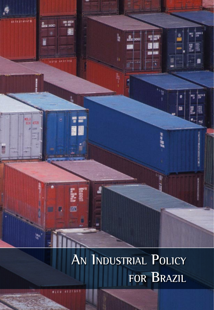

# **An Industrial Policy for Brazil**

**RECU 4521551**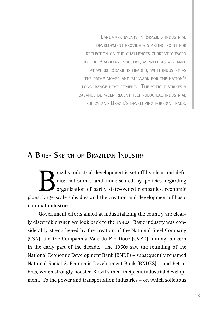**Landmark events in Brazil's industrial development provide a starting point for reflection on the challenges currently faced by the Brazilian industry, as well as a glance at where Brazil is headed, with industry as the prime mover and bulwark for the nation's long-range development. The article strikes a balance between recent technological industrial policy and Brazil's developing foreign trade.**

# **A Brief Sketch of Brazilian Industry**

razil's industrial development is set off by clear and definite<br>nite milestones and underscored by policies regarding<br>organization of partly state-owned companies, economic<br>alarge-scale subsidies and the creation and devel nite milestones and underscored by policies regarding organization of partly state-owned companies, economic plans, large-scale subsidies and the creation and development of basic national industries.

Government efforts aimed at industrializing the country are clearly discernible when we look back to the 1940s. Basic industry was considerably strengthened by the creation of the National Steel Company (CSN) and the Companhia Vale do Rio Doce (CVRD) mining concern in the early part of the decade. The 1950s saw the founding of the National Economic Development Bank (BNDE) – subsequently renamed National Social & Economic Development Bank (BNDES) – and Petrobras, which strongly boosted Brazil's then-incipient industrial development. To the power and transportation industries – on which solicitous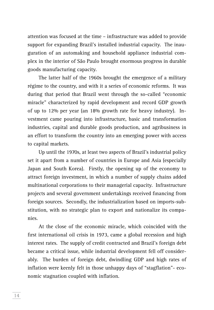attention was focused at the time – infrastructure was added to provide support for expanding Brazil's installed industrial capacity. The inauguration of an automaking and household appliance industrial complex in the interior of São Paulo brought enormous progress in durable goods manufacturing capacity.

The latter half of the 1960s brought the emergence of a military régime to the country, and with it a series of economic reforms. It was during that period that Brazil went through the so-called "economic miracle" characterized by rapid development and record GDP growth of up to 12% per year (an 18% growth rate for heavy industry). Investment came pouring into infrastructure, basic and transformation industries, capital and durable goods production, and agribusiness in an effort to transform the country into an emerging power with access to capital markets.

Up until the 1970s, at least two aspects of Brazil's industrial policy set it apart from a number of countries in Europe and Asia (especially Japan and South Korea). Firstly, the opening up of the economy to attract foreign investment, in which a number of supply chains added multinational corporations to their managerial capacity. Infrastructure projects and several government undertakings received financing from foreign sources. Secondly, the industrialization based on imports-substitution, with no strategic plan to export and nationalize its companies.

At the close of the economic miracle, which coincided with the first international oil crisis in 1973, came a global recession and high interest rates. The supply of credit contracted and Brazil's foreign debt became a critical issue, while industrial development fell off considerably. The burden of foreign debt, dwindling GDP and high rates of inflation were keenly felt in those unhappy days of "stagflation"- economic stagnation coupled with inflation.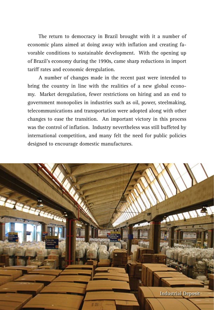The return to democracy in Brazil brought with it a number of economic plans aimed at doing away with inflation and creating favorable conditions to sustainable development. With the opening up of Brazil's economy during the 1990s, came sharp reductions in import tariff rates and economic deregulation.

A number of changes made in the recent past were intended to bring the country in line with the realities of a new global economy. Market deregulation, fewer restrictions on hiring and an end to government monopolies in industries such as oil, power, steelmaking, telecommunications and transportation were adopted along with other changes to ease the transition. An important victory in this process was the control of inflation. Industry nevertheless was still buffeted by international competition, and many felt the need for public policies designed to encourage domestic manufactures.

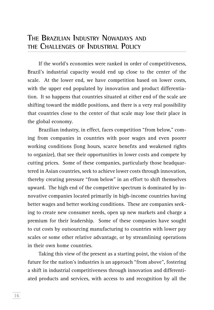### **The Brazilian Industry Nowadays and the Challenges of Industrial Policy**

If the world's economies were ranked in order of competitiveness, Brazil's industrial capacity would end up close to the center of the scale. At the lower end, we have competition based on lower costs, with the upper end populated by innovation and product differentiation. It so happens that countries situated at either end of the scale are shifting toward the middle positions, and there is a very real possibility that countries close to the center of that scale may lose their place in the global economy.

Brazilian industry, in effect, faces competition "from below," coming from companies in countries with poor wages and even poorer working conditions (long hours, scarce benefits and weakened rights to organize), that see their opportunities in lower costs and compete by cutting prices. Some of these companies, particularly those headquartered in Asian countries, seek to achieve lower costs through innovation, thereby creating pressure "from below" in an effort to shift themselves upward. The high end of the competitive spectrum is dominated by innovative companies located primarily in high-income countries having better wages and better working conditions. These are companies seeking to create new consumer needs, open up new markets and charge a premium for their leadership. Some of these companies have sought to cut costs by outsourcing manufacturing to countries with lower pay scales or some other relative advantage, or by streamlining operations in their own home countries.

Taking this view of the present as a starting point, the vision of the future for the nation's industries is an approach "from above", fostering a shift in industrial competitiveness through innovation and differentiated products and services, with access to and recognition by all the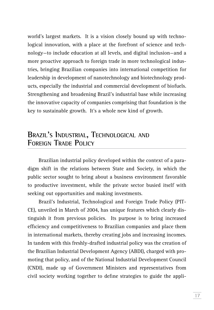world's largest markets. It is a vision closely bound up with technological innovation, with a place at the forefront of science and technology—to include education at all levels, and digital inclusion—and a more proactive approach to foreign trade in more technological industries, bringing Brazilian companies into international competition for leadership in development of nanotechnology and biotechnology products, especially the industrial and commercial development of biofuels. Strengthening and broadening Brazil's industrial base while increasing the innovative capacity of companies comprising that foundation is the key to sustainable growth. It's a whole new kind of growth.

# **Brazil's Industrial, Technological and Foreign Trade Policy**

Brazilian industrial policy developed within the context of a paradigm shift in the relations between State and Society, in which the public sector sought to bring about a business environment favorable to productive investment, while the private sector busied itself with seeking out opportunities and making investments.

Brazil's Industrial, Technological and Foreign Trade Policy (PIT-CE), unveiled in March of 2004, has unique features which clearly distinguish it from previous policies. Its purpose is to bring increased efficiency and competitiveness to Brazilian companies and place them in international markets, thereby creating jobs and increasing incomes. In tandem with this freshly-drafted industrial policy was the creation of the Brazilian Industrial Development Agency (ABDI), charged with promoting that policy, and of the National Industrial Development Council (CNDI), made up of Government Ministers and representatives from civil society working together to define strategies to guide the appli-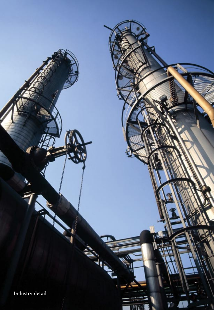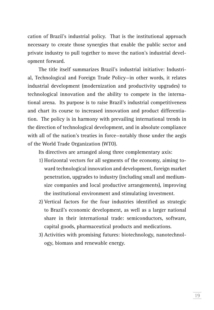cation of Brazil's industrial policy. That is the institutional approach necessary to create those synergies that enable the public sector and private industry to pull together to move the nation's industrial development forward.

The title itself summarizes Brazil's industrial initiative: Industrial, Technological and Foreign Trade Policy—in other words, it relates industrial development (modernization and productivity upgrades) to technological innovation and the ability to compete in the international arena. Its purpose is to raise Brazil's industrial competitiveness and chart its course to increased innovation and product differentiation. The policy is in harmony with prevailing international trends in the direction of technological development, and in absolute compliance with all of the nation's treaties in force—notably those under the aegis of the World Trade Organization (WTO).

Its directives are arranged along three complementary axis:

- 1) Horizontal vectors for all segments of the economy, aiming toward technological innovation and development, foreign market penetration, upgrades to industry (including small and mediumsize companies and local productive arrangements), improving the institutional environment and stimulating investment.
- 2) Vertical factors for the four industries identified as strategic to Brazil's economic development, as well as a larger national share in their international trade: semiconductors, software, capital goods, pharmaceutical products and medications.
- 3) Activities with promising futures: biotechnology, nanotechnology, biomass and renewable energy.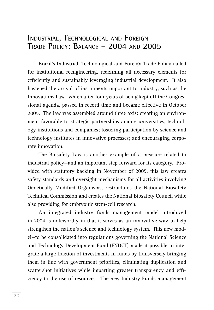#### **Industrial, Technological and Foreign Trade Policy: Balance – 2004 and 2005**

Brazil's Industrial, Technological and Foreign Trade Policy called for institutional reengineering, redefining all necessary elements for efficiently and sustainably leveraging industrial development. It also hastened the arrival of instruments important to industry, such as the Innovations Law—which after four years of being kept off the Congressional agenda, passed in record time and became effective in October 2005. The law was assembled around three axis: creating an environment favorable to strategic partnerships among universities, technology institutions and companies; fostering participation by science and technology institutes in innovative processes; and encouraging corporate innovation.

The Biosafety Law is another example of a measure related to industrial policy—and an important step forward for its category. Provided with statutory backing in November of 2005, this law creates safety standards and oversight mechanisms for all activities involving Genetically Modified Organisms, restructures the National Biosafety Technical Commission and creates the National Biosafety Council while also providing for embryonic stem-cell research.

An integrated industry funds management model introduced in 2004 is noteworthy in that it serves as an innovative way to help strengthen the nation's science and technology system. This new model—to be consolidated into regulations governing the National Science and Technology Development Fund (FNDCT) made it possible to integrate a large fraction of investments in funds by transversely bringing them in line with government priorities, eliminating duplication and scattershot initiatives while imparting greater transparency and efficiency to the use of resources. The new Industry Funds management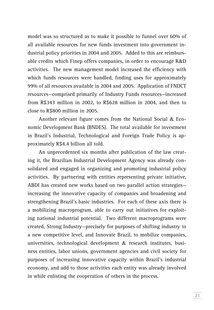model was so structured as to make it possible to funnel over 60% of all available resources for new funds investment into government industrial policy priorities in 2004 and 2005. Added to this are reimbursable credits which Finep offers companies, in order to encourage R&D activities. The new management model increased the efficiency with which funds resources were handled, finding uses for approximately 99% of all resources available in 2004 and 2005. Application of FNDCT resources—comprised primarily of Industry Funds resources—increased from R\$343 million in 2002, to R\$628 million in 2004, and then to close to R\$800 million in 2005.

Another relevant figure comes from the National Social & Economic Development Bank (BNDES). The total available for investment in Brazil's Industrial, Technological and Foreign Trade Policy is approximately R\$4.4 billion all told.

An unprecedented six months after publication of the law creating it, the Brazilian Industrial Development Agency was already consolidated and engaged in organizing and promoting industrial policy activities. By partnering with entities representing private initiative, ABDI has created new works based on two parallel action strategies increasing the innovative capacity of companies and broadening and strengthening Brazil's basic industries. For each of these axis there is a mobilizing macroprogram, able to carry out initiatives for exploiting national industrial potential. Two different macroprograms were created, Strong Industry—precisely for purposes of shifting industry to a new competitive level, and Innovate Brazil, to mobilize companies, universities, technological development & research institutes, business entities, labor unions, government agencies and civil society for purposes of increasing innovative capacity within Brazil's industrial economy, and add to those activities each entity was already involved in while enlisting the cooperation of others in the process.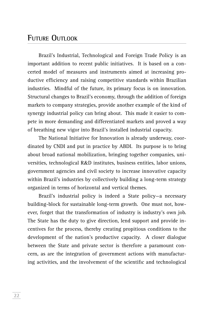### **FUTURE** OUTLOOK

Brazil's Industrial, Technological and Foreign Trade Policy is an important addition to recent public initiatives. It is based on a concerted model of measures and instruments aimed at increasing productive efficiency and raising competitive standards within Brazilian industries. Mindful of the future, its primary focus is on innovation. Structural changes to Brazil's economy, through the addition of foreign markets to company strategies, provide another example of the kind of synergy industrial policy can bring about. This made it easier to compete in more demanding and differentiated markets and proved a way of breathing new vigor into Brazil's installed industrial capacity.

The National Initiative for Innovation is already underway, coordinated by CNDI and put in practice by ABDI. Its purpose is to bring about broad national mobilization, bringing together companies, universities, technological R&D institutes, business entities, labor unions, government agencies and civil society to increase innovative capacity within Brazil's industries by collectively building a long-term strategy organized in terms of horizontal and vertical themes.

Brazil's industrial policy is indeed a State policy—a necessary building-block for sustainable long-term growth. One must not, however, forget that the transformation of industry is industry's own job. The State has the duty to give direction, lend support and provide incentives for the process, thereby creating propitious conditions to the development of the nation's productive capacity. A closer dialogue between the State and private sector is therefore a paramount concern, as are the integration of government actions with manufacturing activities, and the involvement of the scientific and technological